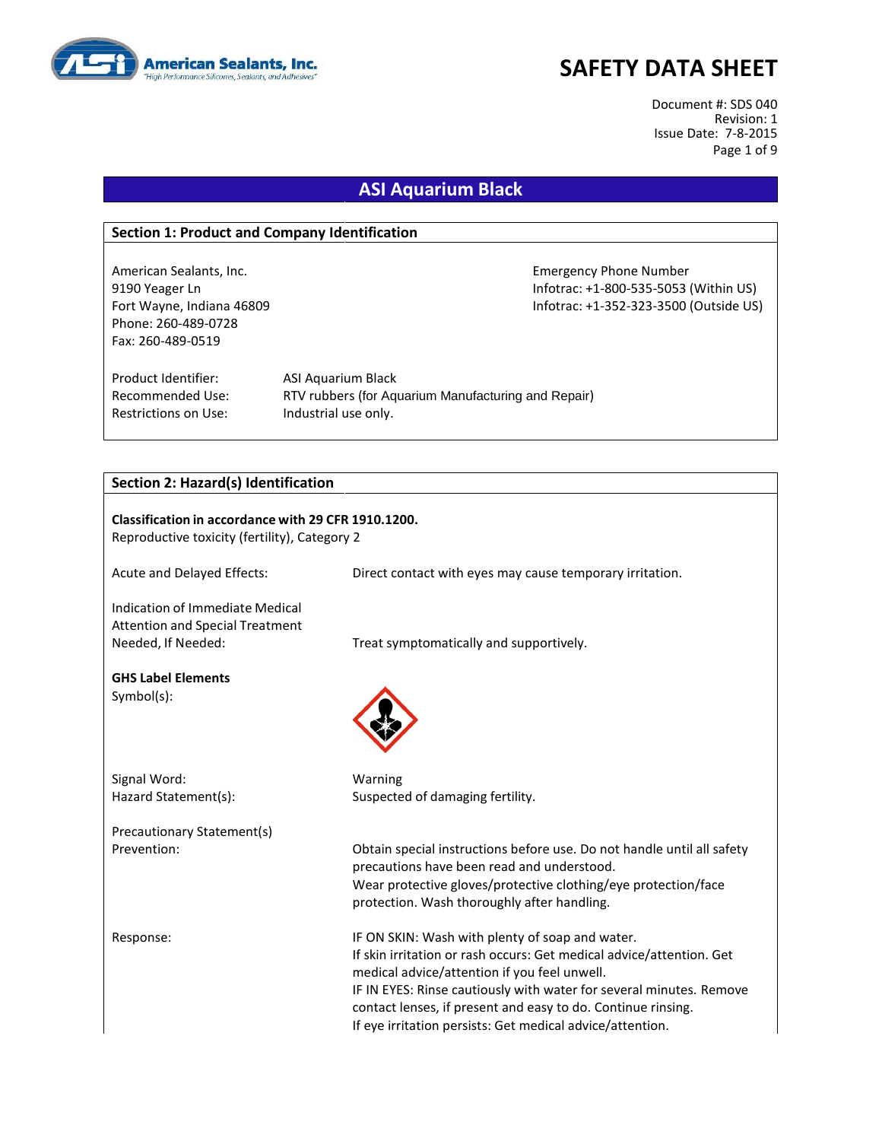

Document #: SDS 040 Revision: 1 Issue Date: 7-8-2015 Page 1 of 9

## **ASI Aquarium Black**

#### **Section 1: Product and Company Identification**

Phone: 260-489-0728 Fax: 260-489-0519

American Sealants, Inc. Emergency Phone Number 9190 Yeager Ln Infotrac: +1-800-535-5053 (Within US) Fort Wayne, Indiana 46809 Infotrac: +1-352-323-3500 (Outside US)

Product Identifier: ASI Aquarium Black Restrictions on Use: Industrial use only.

Recommended Use: RTV rubbers (for Aquarium Manufacturing and Repair)

#### **Section 2: Hazard(s) Identification**

| Classification in accordance with 29 CFR 1910.1200.<br>Reproductive toxicity (fertility), Category 2 |                                                                                                                                                                                                                                                                                                                                                                             |  |
|------------------------------------------------------------------------------------------------------|-----------------------------------------------------------------------------------------------------------------------------------------------------------------------------------------------------------------------------------------------------------------------------------------------------------------------------------------------------------------------------|--|
| Acute and Delayed Effects:                                                                           | Direct contact with eyes may cause temporary irritation.                                                                                                                                                                                                                                                                                                                    |  |
| Indication of Immediate Medical<br><b>Attention and Special Treatment</b><br>Needed, If Needed:      | Treat symptomatically and supportively.                                                                                                                                                                                                                                                                                                                                     |  |
| <b>GHS Label Elements</b><br>$Symbol(s)$ :                                                           |                                                                                                                                                                                                                                                                                                                                                                             |  |
| Signal Word:                                                                                         | Warning                                                                                                                                                                                                                                                                                                                                                                     |  |
| Hazard Statement(s):                                                                                 | Suspected of damaging fertility.                                                                                                                                                                                                                                                                                                                                            |  |
| Precautionary Statement(s)                                                                           |                                                                                                                                                                                                                                                                                                                                                                             |  |
| Prevention:                                                                                          | Obtain special instructions before use. Do not handle until all safety<br>precautions have been read and understood.                                                                                                                                                                                                                                                        |  |
|                                                                                                      | Wear protective gloves/protective clothing/eye protection/face<br>protection. Wash thoroughly after handling.                                                                                                                                                                                                                                                               |  |
| Response:                                                                                            | IF ON SKIN: Wash with plenty of soap and water.<br>If skin irritation or rash occurs: Get medical advice/attention. Get<br>medical advice/attention if you feel unwell.<br>IF IN EYES: Rinse cautiously with water for several minutes. Remove<br>contact lenses, if present and easy to do. Continue rinsing.<br>If eye irritation persists: Get medical advice/attention. |  |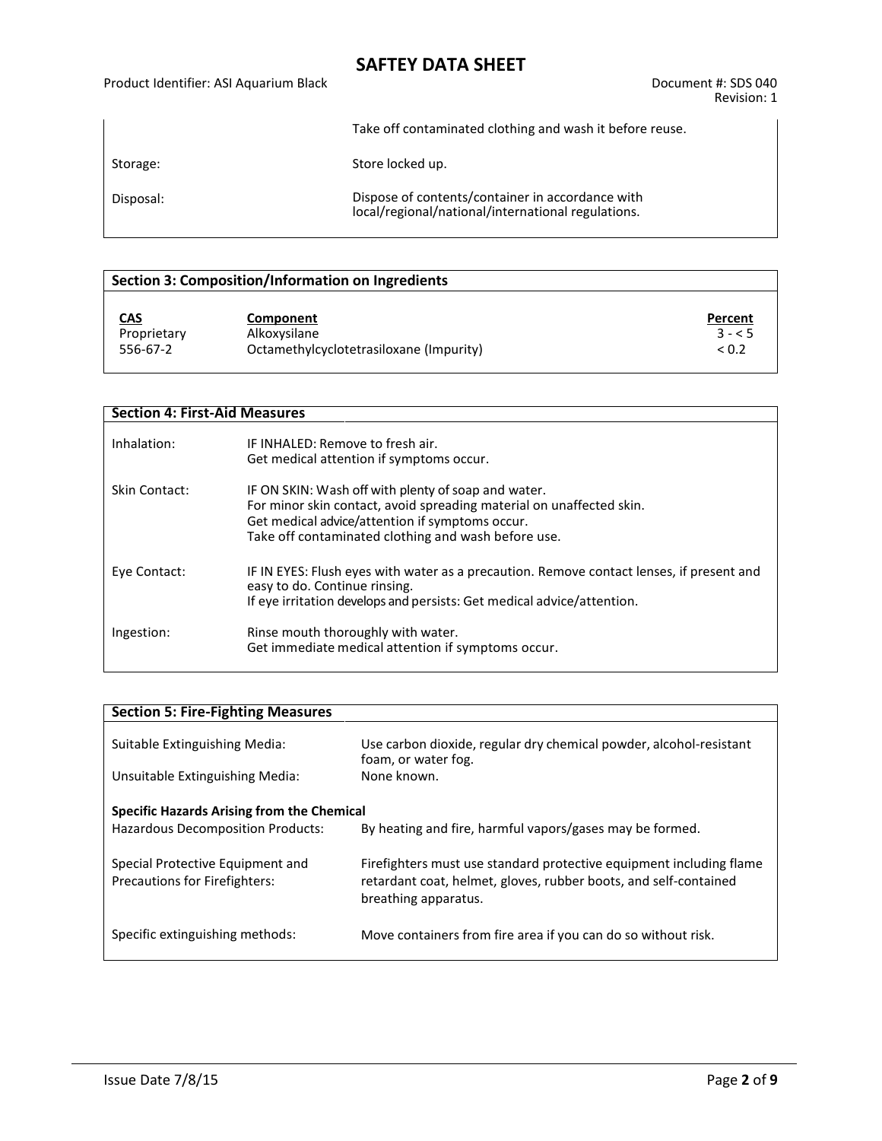#### Product Identifier: ASI Aquarium Black Document #: SDS 040

Revision: 1

Take off contaminated clothing and wash it before reuse.

Storage: Storage: Store locked up.

Disposal: Dispose of contents/container in accordance with local/regional/national/international regulations.

#### **Section 3: Composition/Information on Ingredients**

| <u>CAS</u>  | Component                               | Percent    |
|-------------|-----------------------------------------|------------|
| Proprietary | Alkoxysilane                            | $3 - 5$    |
| 556-67-2    | Octamethylcyclotetrasiloxane (Impurity) | ${}_{0.2}$ |

#### **Section 4: First-Aid Measures**

| Inhalation:   | IF INHALFD: Remove to fresh air.<br>Get medical attention if symptoms occur.                                                                                                                                                          |
|---------------|---------------------------------------------------------------------------------------------------------------------------------------------------------------------------------------------------------------------------------------|
| Skin Contact: | IF ON SKIN: Wash off with plenty of soap and water.<br>For minor skin contact, avoid spreading material on unaffected skin.<br>Get medical advice/attention if symptoms occur.<br>Take off contaminated clothing and wash before use. |
| Eye Contact:  | IF IN EYES: Flush eyes with water as a precaution. Remove contact lenses, if present and<br>easy to do. Continue rinsing.<br>If eye irritation develops and persists: Get medical advice/attention.                                   |
| Ingestion:    | Rinse mouth thoroughly with water.<br>Get immediate medical attention if symptoms occur.                                                                                                                                              |

| <b>Section 5: Fire-Fighting Measures</b>                                 |                                                                                                                                                                 |
|--------------------------------------------------------------------------|-----------------------------------------------------------------------------------------------------------------------------------------------------------------|
|                                                                          |                                                                                                                                                                 |
| Suitable Extinguishing Media:                                            | Use carbon dioxide, regular dry chemical powder, alcohol-resistant<br>foam, or water fog.                                                                       |
| Unsuitable Extinguishing Media:                                          | None known.                                                                                                                                                     |
| Specific Hazards Arising from the Chemical                               |                                                                                                                                                                 |
| <b>Hazardous Decomposition Products:</b>                                 | By heating and fire, harmful vapors/gases may be formed.                                                                                                        |
| Special Protective Equipment and<br><b>Precautions for Firefighters:</b> | Firefighters must use standard protective equipment including flame<br>retardant coat, helmet, gloves, rubber boots, and self-contained<br>breathing apparatus. |
| Specific extinguishing methods:                                          | Move containers from fire area if you can do so without risk.                                                                                                   |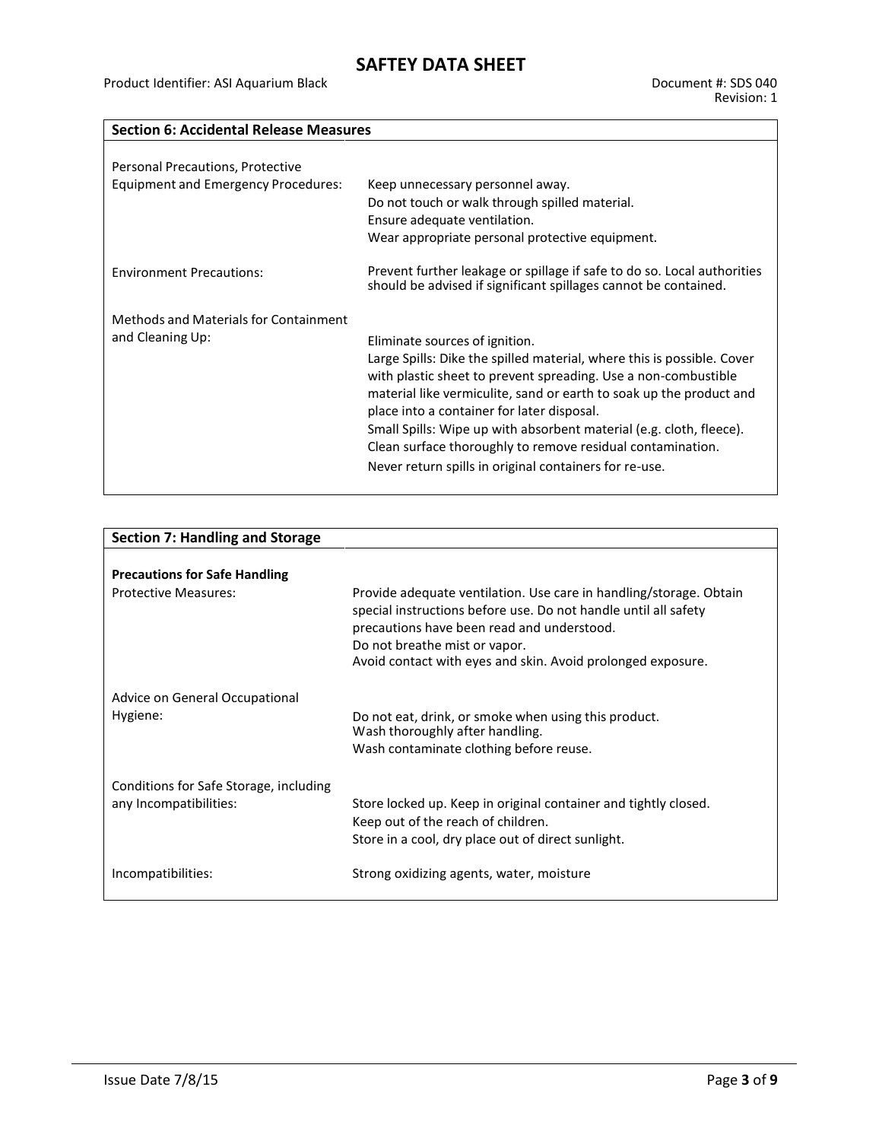### **Section 6: Accidental Release Measures**

| Personal Precautions, Protective<br>Equipment and Emergency Procedures: | Keep unnecessary personnel away.<br>Do not touch or walk through spilled material.<br>Ensure adequate ventilation.<br>Wear appropriate personal protective equipment.                                                                                                                                                                                                                                                                                                                          |
|-------------------------------------------------------------------------|------------------------------------------------------------------------------------------------------------------------------------------------------------------------------------------------------------------------------------------------------------------------------------------------------------------------------------------------------------------------------------------------------------------------------------------------------------------------------------------------|
| <b>Environment Precautions:</b>                                         | Prevent further leakage or spillage if safe to do so. Local authorities<br>should be advised if significant spillages cannot be contained.                                                                                                                                                                                                                                                                                                                                                     |
| Methods and Materials for Containment<br>and Cleaning Up:               | Eliminate sources of ignition.<br>Large Spills: Dike the spilled material, where this is possible. Cover<br>with plastic sheet to prevent spreading. Use a non-combustible<br>material like vermiculite, sand or earth to soak up the product and<br>place into a container for later disposal.<br>Small Spills: Wipe up with absorbent material (e.g. cloth, fleece).<br>Clean surface thoroughly to remove residual contamination.<br>Never return spills in original containers for re-use. |

| <b>Section 7: Handling and Storage</b> |                                                                                                                                                                                                                                                                                     |
|----------------------------------------|-------------------------------------------------------------------------------------------------------------------------------------------------------------------------------------------------------------------------------------------------------------------------------------|
|                                        |                                                                                                                                                                                                                                                                                     |
| <b>Precautions for Safe Handling</b>   |                                                                                                                                                                                                                                                                                     |
| Protective Measures:                   | Provide adequate ventilation. Use care in handling/storage. Obtain<br>special instructions before use. Do not handle until all safety<br>precautions have been read and understood.<br>Do not breathe mist or vapor.<br>Avoid contact with eyes and skin. Avoid prolonged exposure. |
| Advice on General Occupational         |                                                                                                                                                                                                                                                                                     |
| Hygiene:                               | Do not eat, drink, or smoke when using this product.<br>Wash thoroughly after handling.                                                                                                                                                                                             |
|                                        | Wash contaminate clothing before reuse.                                                                                                                                                                                                                                             |
| Conditions for Safe Storage, including |                                                                                                                                                                                                                                                                                     |
| any Incompatibilities:                 | Store locked up. Keep in original container and tightly closed.                                                                                                                                                                                                                     |
|                                        | Keep out of the reach of children.<br>Store in a cool, dry place out of direct sunlight.                                                                                                                                                                                            |
|                                        |                                                                                                                                                                                                                                                                                     |
| Incompatibilities:                     | Strong oxidizing agents, water, moisture                                                                                                                                                                                                                                            |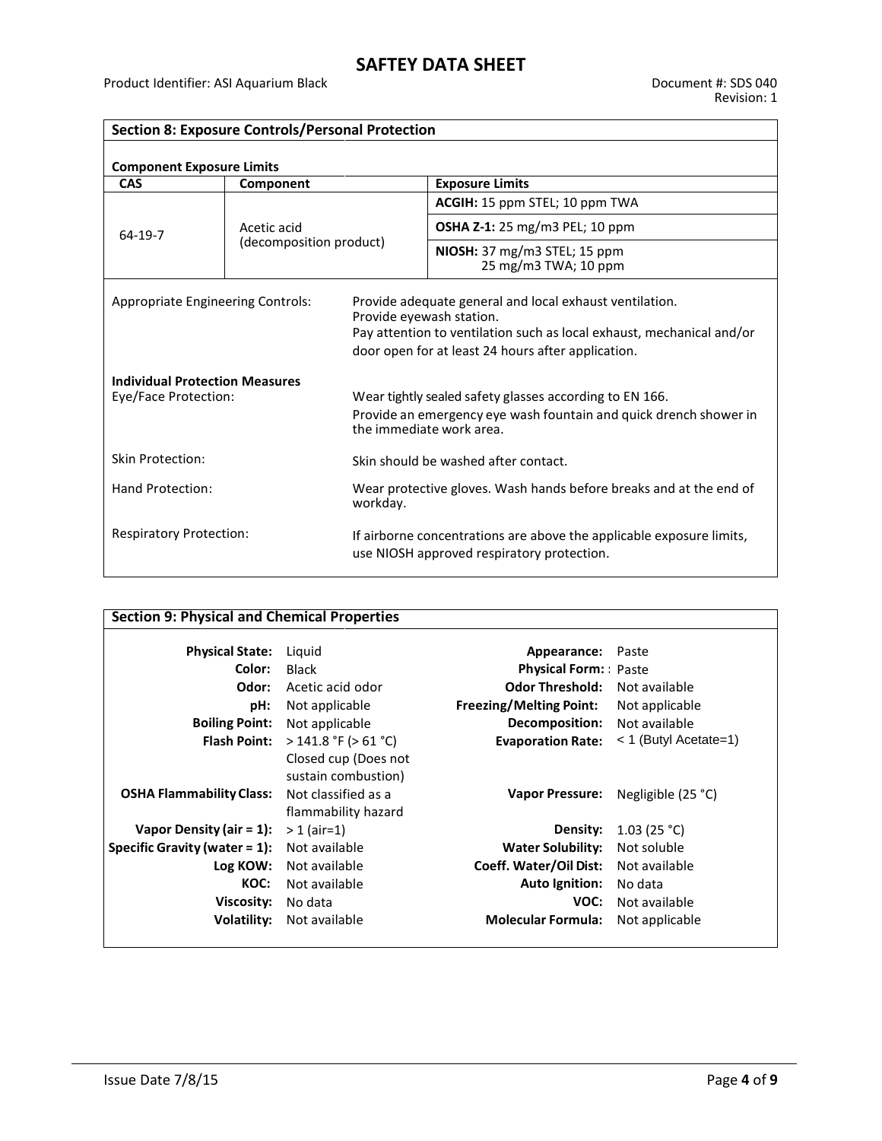$\overline{\phantom{a}}$ 

| <b>Section 8: Exposure Controls/Personal Protection</b>       |                                        |                                                                                                                                                                                                                    |                                                      |  |
|---------------------------------------------------------------|----------------------------------------|--------------------------------------------------------------------------------------------------------------------------------------------------------------------------------------------------------------------|------------------------------------------------------|--|
| <b>Component Exposure Limits</b>                              |                                        |                                                                                                                                                                                                                    |                                                      |  |
| <b>CAS</b>                                                    | Component                              |                                                                                                                                                                                                                    | <b>Exposure Limits</b>                               |  |
|                                                               |                                        |                                                                                                                                                                                                                    | ACGIH: 15 ppm STEL; 10 ppm TWA                       |  |
| 64-19-7                                                       | Acetic acid<br>(decomposition product) |                                                                                                                                                                                                                    | <b>OSHA Z-1:</b> 25 mg/m3 PEL; 10 ppm                |  |
|                                                               |                                        |                                                                                                                                                                                                                    | NIOSH: 37 mg/m3 STEL; 15 ppm<br>25 mg/m3 TWA; 10 ppm |  |
| <b>Appropriate Engineering Controls:</b>                      |                                        | Provide adequate general and local exhaust ventilation.<br>Provide eyewash station.<br>Pay attention to ventilation such as local exhaust, mechanical and/or<br>door open for at least 24 hours after application. |                                                      |  |
| <b>Individual Protection Measures</b><br>Eye/Face Protection: |                                        | Wear tightly sealed safety glasses according to EN 166.<br>Provide an emergency eye wash fountain and quick drench shower in<br>the immediate work area.                                                           |                                                      |  |
| <b>Skin Protection:</b>                                       |                                        | Skin should be washed after contact.                                                                                                                                                                               |                                                      |  |
| Hand Protection:                                              |                                        | Wear protective gloves. Wash hands before breaks and at the end of<br>workday.                                                                                                                                     |                                                      |  |
| <b>Respiratory Protection:</b>                                |                                        | If airborne concentrations are above the applicable exposure limits,<br>use NIOSH approved respiratory protection.                                                                                                 |                                                      |  |

| <b>Section 9: Physical and Chemical Properties</b> |                           |                                      |                         |
|----------------------------------------------------|---------------------------|--------------------------------------|-------------------------|
| <b>Physical State:</b>                             | Liguid                    | Appearance:                          | Paste                   |
| Color:                                             | <b>Black</b>              | <b>Physical Form:</b> Paste          |                         |
| Odor:                                              | Acetic acid odor          | <b>Odor Threshold:</b> Not available |                         |
| pH:                                                | Not applicable            | <b>Freezing/Melting Point:</b>       | Not applicable          |
| <b>Boiling Point:</b>                              | Not applicable            | <b>Decomposition:</b> Not available  |                         |
| <b>Flash Point:</b>                                | $>$ 141.8 °F ( $>$ 61 °C) | <b>Evaporation Rate:</b>             | $<$ 1 (Butyl Acetate=1) |
|                                                    | Closed cup (Does not      |                                      |                         |
|                                                    | sustain combustion)       |                                      |                         |
| <b>OSHA Flammability Class:</b>                    | Not classified as a       | <b>Vapor Pressure:</b>               | Negligible $(25 °C)$    |
|                                                    | flammability hazard       |                                      |                         |
| Vapor Density (air $= 1$ ):                        | $> 1$ (air=1)             | Density:                             | 1.03(25 °C)             |
| <b>Specific Gravity (water = 1):</b> Not available |                           | <b>Water Solubility:</b>             | Not soluble             |
| Log KOW:                                           | Not available             | Coeff. Water/Oil Dist:               | Not available           |
| KOC:                                               | Not available             | <b>Auto Ignition:</b>                | No data                 |
| Viscosity:                                         | No data                   | VOC:                                 | Not available           |
| Volatility:                                        | Not available             | <b>Molecular Formula:</b>            | Not applicable          |
|                                                    |                           |                                      |                         |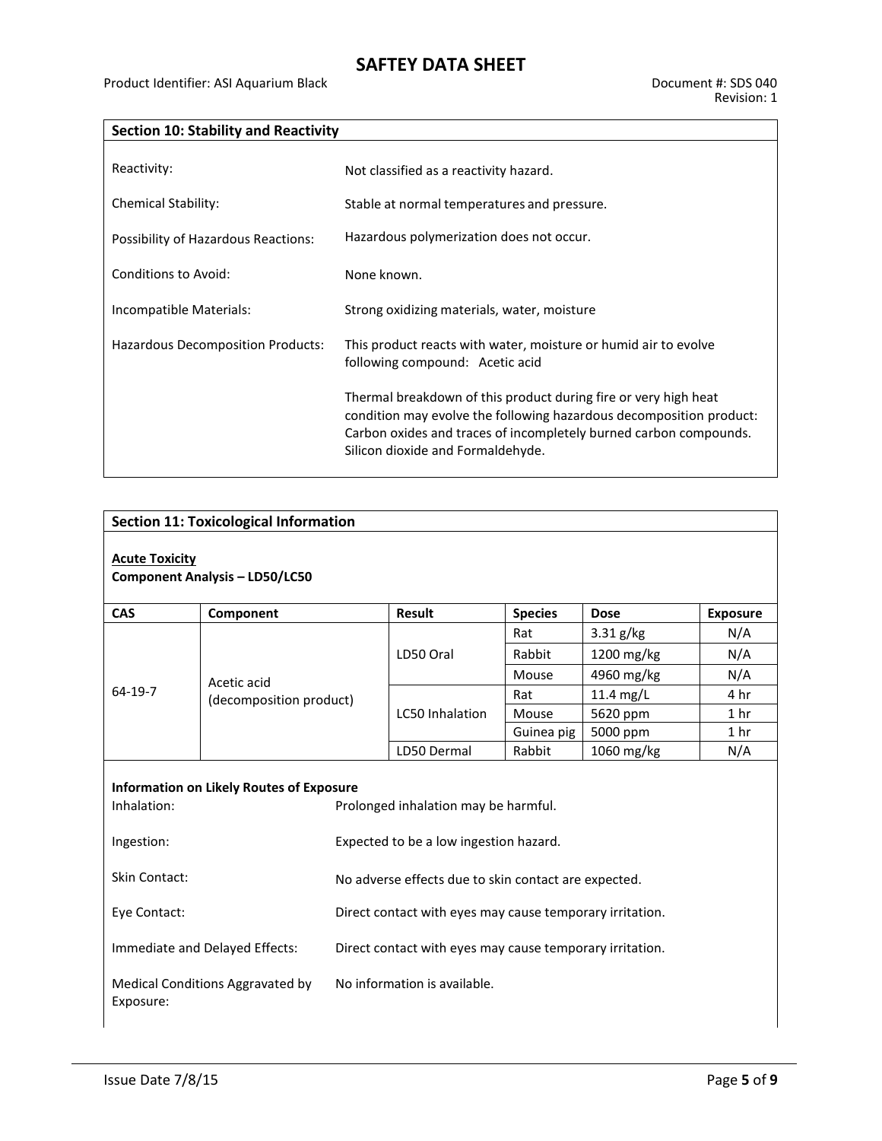| <b>Section 10: Stability and Reactivity</b> |                                                                                                                                                                                                                                                  |  |
|---------------------------------------------|--------------------------------------------------------------------------------------------------------------------------------------------------------------------------------------------------------------------------------------------------|--|
|                                             |                                                                                                                                                                                                                                                  |  |
| Reactivity:                                 | Not classified as a reactivity hazard.                                                                                                                                                                                                           |  |
| Chemical Stability:                         | Stable at normal temperatures and pressure.                                                                                                                                                                                                      |  |
| Possibility of Hazardous Reactions:         | Hazardous polymerization does not occur.                                                                                                                                                                                                         |  |
| Conditions to Avoid:                        | None known.                                                                                                                                                                                                                                      |  |
| Incompatible Materials:                     | Strong oxidizing materials, water, moisture                                                                                                                                                                                                      |  |
| Hazardous Decomposition Products:           | This product reacts with water, moisture or humid air to evolve<br>following compound: Acetic acid                                                                                                                                               |  |
|                                             | Thermal breakdown of this product during fire or very high heat<br>condition may evolve the following hazardous decomposition product:<br>Carbon oxides and traces of incompletely burned carbon compounds.<br>Silicon dioxide and Formaldehyde. |  |

| <b>Section 11: Toxicological Information</b>                                                                                                                   |                                                      |                                                          |                 |                |             |                 |
|----------------------------------------------------------------------------------------------------------------------------------------------------------------|------------------------------------------------------|----------------------------------------------------------|-----------------|----------------|-------------|-----------------|
| <b>Acute Toxicity</b><br><b>Component Analysis - LD50/LC50</b>                                                                                                 |                                                      |                                                          |                 |                |             |                 |
| <b>CAS</b>                                                                                                                                                     | Component                                            |                                                          | <b>Result</b>   | <b>Species</b> | <b>Dose</b> | <b>Exposure</b> |
|                                                                                                                                                                |                                                      |                                                          |                 | Rat            | 3.31 g/kg   | N/A             |
|                                                                                                                                                                |                                                      |                                                          | LD50 Oral       | Rabbit         | 1200 mg/kg  | N/A             |
|                                                                                                                                                                | Acetic acid                                          |                                                          |                 | Mouse          | 4960 mg/kg  | N/A             |
| 64-19-7                                                                                                                                                        | (decomposition product)                              |                                                          |                 |                | 11.4 mg/L   | 4 hr            |
|                                                                                                                                                                |                                                      |                                                          | LC50 Inhalation | Mouse          | 5620 ppm    | 1 <sub>hr</sub> |
|                                                                                                                                                                |                                                      |                                                          |                 | Guinea pig     | 5000 ppm    | 1 <sub>hr</sub> |
|                                                                                                                                                                |                                                      |                                                          | LD50 Dermal     | Rabbit         | 1060 mg/kg  | N/A             |
| <b>Information on Likely Routes of Exposure</b><br>Inhalation:<br>Prolonged inhalation may be harmful.<br>Ingestion:<br>Expected to be a low ingestion hazard. |                                                      |                                                          |                 |                |             |                 |
| <b>Skin Contact:</b>                                                                                                                                           | No adverse effects due to skin contact are expected. |                                                          |                 |                |             |                 |
| Eye Contact:                                                                                                                                                   |                                                      | Direct contact with eyes may cause temporary irritation. |                 |                |             |                 |
| Immediate and Delayed Effects:                                                                                                                                 |                                                      | Direct contact with eyes may cause temporary irritation. |                 |                |             |                 |
| Medical Conditions Aggravated by<br>Exposure:                                                                                                                  |                                                      | No information is available.                             |                 |                |             |                 |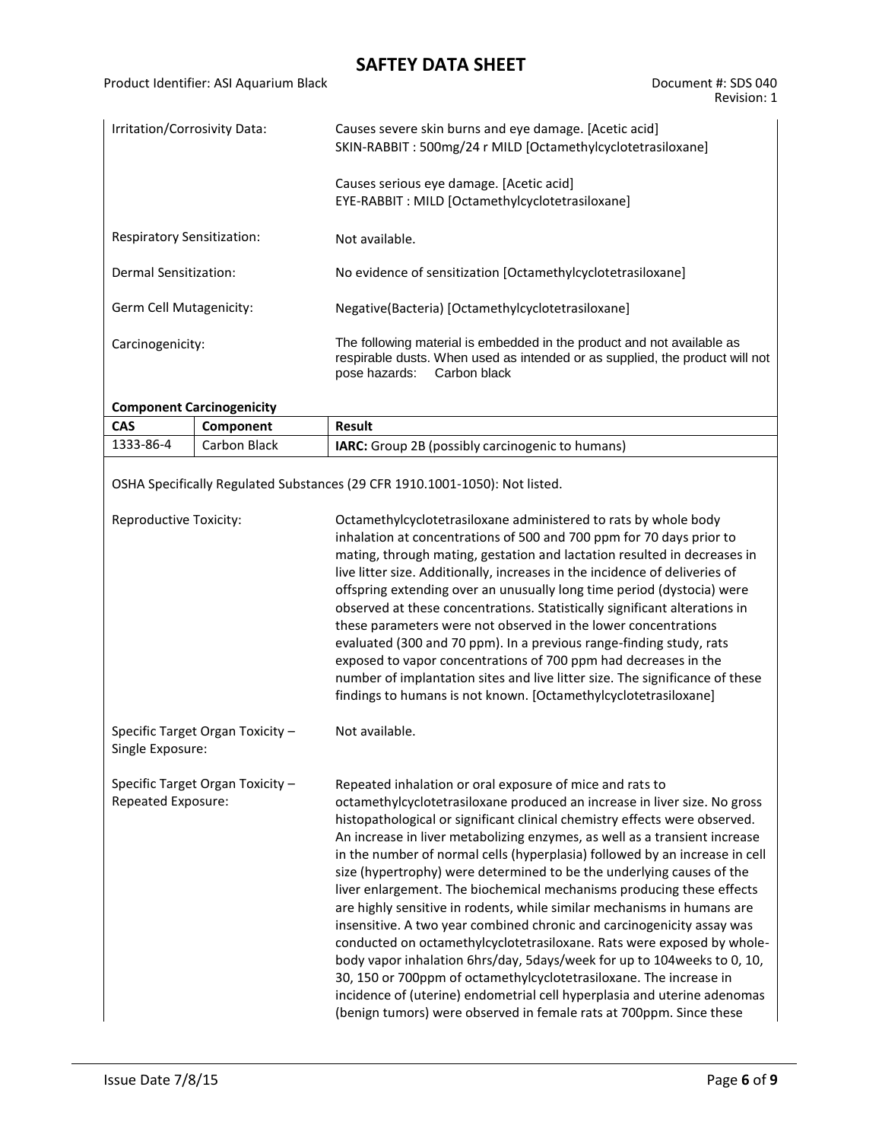Revision: 1

| Irritation/Corrosivity Data:      | Causes severe skin burns and eye damage. [Acetic acid]<br>SKIN-RABBIT: 500mg/24 r MILD [Octamethylcyclotetrasiloxane]                                                                   |  |
|-----------------------------------|-----------------------------------------------------------------------------------------------------------------------------------------------------------------------------------------|--|
|                                   | Causes serious eye damage. [Acetic acid]<br>EYE-RABBIT: MILD [Octamethylcyclotetrasiloxane]                                                                                             |  |
| <b>Respiratory Sensitization:</b> | Not available.                                                                                                                                                                          |  |
| Dermal Sensitization:             | No evidence of sensitization [Octamethylcyclotetrasiloxane]                                                                                                                             |  |
| Germ Cell Mutagenicity:           | Negative(Bacteria) [Octamethylcyclotetrasiloxane]                                                                                                                                       |  |
| Carcinogenicity:                  | The following material is embedded in the product and not available as<br>respirable dusts. When used as intended or as supplied, the product will not<br>Carbon black<br>pose hazards: |  |

### **Component Carcinogenicity**

| <b>CAS</b>                                             | Component                        | Result                                                                                                                                                                                                                                                                                                                                                                                                                                                                                                                                                                                                                                                                                                                                                                                                                                                                                                                                                                                                                                                                |  |
|--------------------------------------------------------|----------------------------------|-----------------------------------------------------------------------------------------------------------------------------------------------------------------------------------------------------------------------------------------------------------------------------------------------------------------------------------------------------------------------------------------------------------------------------------------------------------------------------------------------------------------------------------------------------------------------------------------------------------------------------------------------------------------------------------------------------------------------------------------------------------------------------------------------------------------------------------------------------------------------------------------------------------------------------------------------------------------------------------------------------------------------------------------------------------------------|--|
| 1333-86-4                                              | Carbon Black                     | IARC: Group 2B (possibly carcinogenic to humans)                                                                                                                                                                                                                                                                                                                                                                                                                                                                                                                                                                                                                                                                                                                                                                                                                                                                                                                                                                                                                      |  |
|                                                        |                                  | OSHA Specifically Regulated Substances (29 CFR 1910.1001-1050): Not listed.                                                                                                                                                                                                                                                                                                                                                                                                                                                                                                                                                                                                                                                                                                                                                                                                                                                                                                                                                                                           |  |
| Reproductive Toxicity:                                 |                                  | Octamethylcyclotetrasiloxane administered to rats by whole body<br>inhalation at concentrations of 500 and 700 ppm for 70 days prior to<br>mating, through mating, gestation and lactation resulted in decreases in<br>live litter size. Additionally, increases in the incidence of deliveries of<br>offspring extending over an unusually long time period (dystocia) were<br>observed at these concentrations. Statistically significant alterations in<br>these parameters were not observed in the lower concentrations<br>evaluated (300 and 70 ppm). In a previous range-finding study, rats<br>exposed to vapor concentrations of 700 ppm had decreases in the<br>number of implantation sites and live litter size. The significance of these<br>findings to humans is not known. [Octamethylcyclotetrasiloxane]                                                                                                                                                                                                                                             |  |
| Single Exposure:                                       | Specific Target Organ Toxicity - | Not available.                                                                                                                                                                                                                                                                                                                                                                                                                                                                                                                                                                                                                                                                                                                                                                                                                                                                                                                                                                                                                                                        |  |
| Specific Target Organ Toxicity -<br>Repeated Exposure: |                                  | Repeated inhalation or oral exposure of mice and rats to<br>octamethylcyclotetrasiloxane produced an increase in liver size. No gross<br>histopathological or significant clinical chemistry effects were observed.<br>An increase in liver metabolizing enzymes, as well as a transient increase<br>in the number of normal cells (hyperplasia) followed by an increase in cell<br>size (hypertrophy) were determined to be the underlying causes of the<br>liver enlargement. The biochemical mechanisms producing these effects<br>are highly sensitive in rodents, while similar mechanisms in humans are<br>insensitive. A two year combined chronic and carcinogenicity assay was<br>conducted on octamethylcyclotetrasiloxane. Rats were exposed by whole-<br>body vapor inhalation 6hrs/day, 5days/week for up to 104weeks to 0, 10,<br>30, 150 or 700ppm of octamethylcyclotetrasiloxane. The increase in<br>incidence of (uterine) endometrial cell hyperplasia and uterine adenomas<br>(benign tumors) were observed in female rats at 700ppm. Since these |  |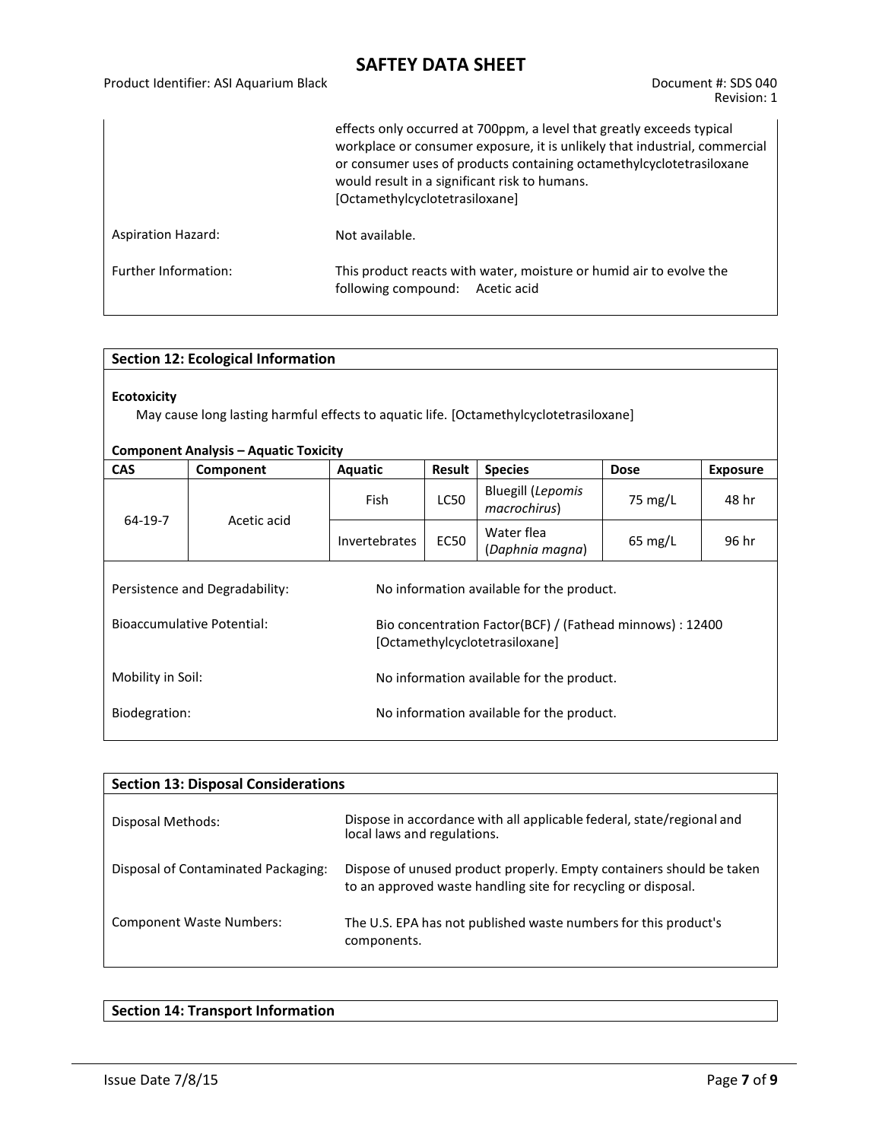|                           | effects only occurred at 700ppm, a level that greatly exceeds typical<br>workplace or consumer exposure, it is unlikely that industrial, commercial<br>or consumer uses of products containing octamethylcyclotetrasiloxane<br>would result in a significant risk to humans.<br>[Octamethylcyclotetrasiloxane] |
|---------------------------|----------------------------------------------------------------------------------------------------------------------------------------------------------------------------------------------------------------------------------------------------------------------------------------------------------------|
| <b>Aspiration Hazard:</b> | Not available.                                                                                                                                                                                                                                                                                                 |
| Further Information:      | This product reacts with water, moisture or humid air to evolve the<br>following compound: Acetic acid                                                                                                                                                                                                         |

| <b>Section 12: Ecological Information</b>                                                                                                                    |             |                                           |               |                                          |                   |                 |  |
|--------------------------------------------------------------------------------------------------------------------------------------------------------------|-------------|-------------------------------------------|---------------|------------------------------------------|-------------------|-----------------|--|
| <b>Ecotoxicity</b><br>May cause long lasting harmful effects to aquatic life. [Octamethylcyclotetrasiloxane]<br><b>Component Analysis - Aquatic Toxicity</b> |             |                                           |               |                                          |                   |                 |  |
| <b>CAS</b>                                                                                                                                                   | Component   | <b>Aquatic</b>                            | <b>Result</b> | <b>Species</b>                           | <b>Dose</b>       | <b>Exposure</b> |  |
| 64-19-7                                                                                                                                                      | Acetic acid | <b>Fish</b>                               | <b>LC50</b>   | <b>Bluegill (Lepomis</b><br>macrochirus) | 75 mg/L           | 48 hr           |  |
|                                                                                                                                                              |             | Invertebrates                             | <b>EC50</b>   | Water flea<br>(Daphnia magna)            | $65 \text{ mg/L}$ | 96 hr           |  |
| Persistence and Degradability:<br>No information available for the product.                                                                                  |             |                                           |               |                                          |                   |                 |  |
| Bioaccumulative Potential:<br>Bio concentration Factor(BCF) / (Fathead minnows) : 12400<br>[Octamethylcyclotetrasiloxane]                                    |             |                                           |               |                                          |                   |                 |  |
| Mobility in Soil:                                                                                                                                            |             | No information available for the product. |               |                                          |                   |                 |  |
| Biodegration:                                                                                                                                                |             | No information available for the product. |               |                                          |                   |                 |  |

| <b>Section 13: Disposal Considerations</b> |                                                                                                                                       |  |  |  |  |  |
|--------------------------------------------|---------------------------------------------------------------------------------------------------------------------------------------|--|--|--|--|--|
| Disposal Methods:                          | Dispose in accordance with all applicable federal, state/regional and<br>local laws and regulations.                                  |  |  |  |  |  |
| Disposal of Contaminated Packaging:        | Dispose of unused product properly. Empty containers should be taken<br>to an approved waste handling site for recycling or disposal. |  |  |  |  |  |
| <b>Component Waste Numbers:</b>            | The U.S. EPA has not published waste numbers for this product's<br>components.                                                        |  |  |  |  |  |

### **Section 14: Transport Information**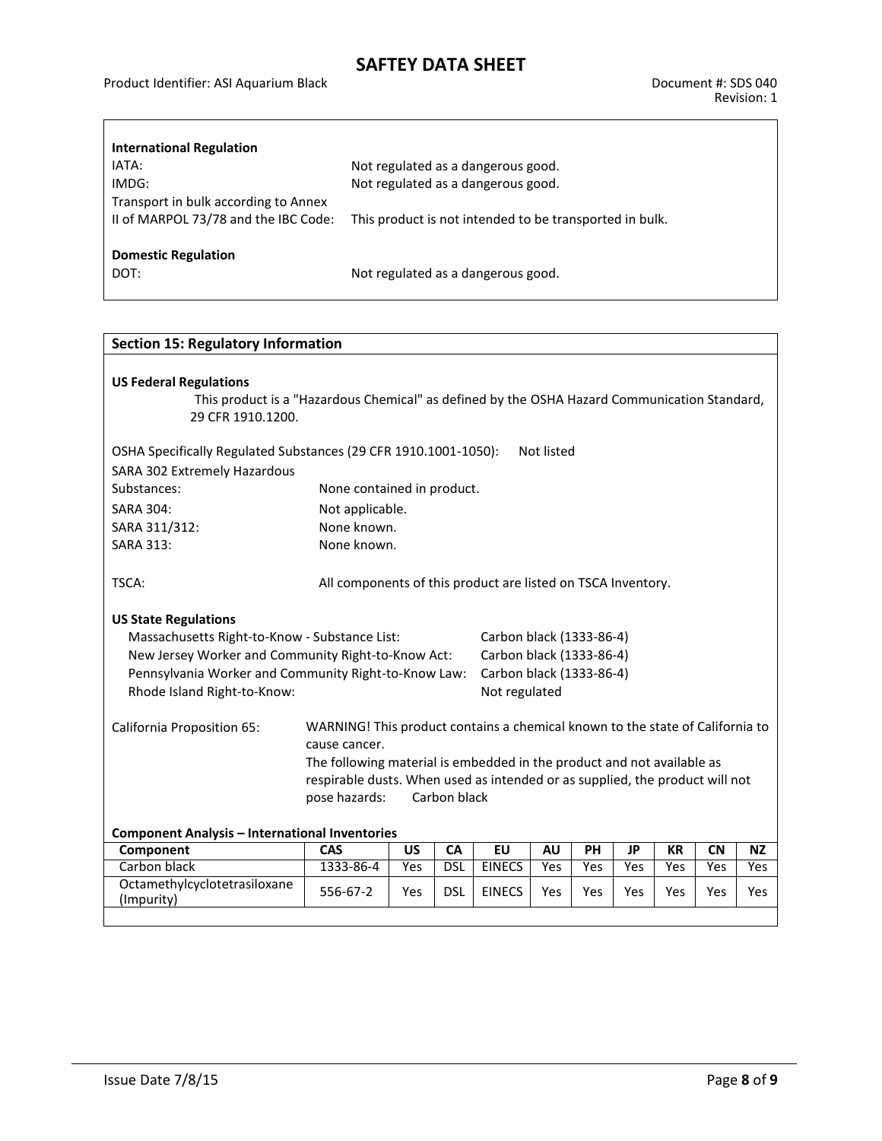Product Identifier: ASI Aquarium Black Document #: SDS 040

 $\Gamma$ 

| <b>International Regulation</b>      |                                                         |
|--------------------------------------|---------------------------------------------------------|
| IATA:                                | Not regulated as a dangerous good.                      |
| IMDG:                                | Not regulated as a dangerous good.                      |
| Transport in bulk according to Annex |                                                         |
| II of MARPOL 73/78 and the IBC Code: | This product is not intended to be transported in bulk. |
| <b>Domestic Regulation</b>           |                                                         |
| DOT:                                 | Not regulated as a dangerous good.                      |
|                                      |                                                         |

| <b>Section 15: Regulatory Information</b>                                                                                                                                                                                 |                                                                                                                                                                                                                                                                                           |           |            |                                                                                                   |           |     |           |           |           |            |
|---------------------------------------------------------------------------------------------------------------------------------------------------------------------------------------------------------------------------|-------------------------------------------------------------------------------------------------------------------------------------------------------------------------------------------------------------------------------------------------------------------------------------------|-----------|------------|---------------------------------------------------------------------------------------------------|-----------|-----|-----------|-----------|-----------|------------|
| <b>US Federal Regulations</b><br>This product is a "Hazardous Chemical" as defined by the OSHA Hazard Communication Standard,<br>29 CFR 1910.1200.                                                                        |                                                                                                                                                                                                                                                                                           |           |            |                                                                                                   |           |     |           |           |           |            |
| OSHA Specifically Regulated Substances (29 CFR 1910.1001-1050):<br>Not listed                                                                                                                                             |                                                                                                                                                                                                                                                                                           |           |            |                                                                                                   |           |     |           |           |           |            |
| SARA 302 Extremely Hazardous                                                                                                                                                                                              |                                                                                                                                                                                                                                                                                           |           |            |                                                                                                   |           |     |           |           |           |            |
| Substances:                                                                                                                                                                                                               | None contained in product.                                                                                                                                                                                                                                                                |           |            |                                                                                                   |           |     |           |           |           |            |
| <b>SARA 304:</b>                                                                                                                                                                                                          | Not applicable.                                                                                                                                                                                                                                                                           |           |            |                                                                                                   |           |     |           |           |           |            |
| SARA 311/312:                                                                                                                                                                                                             | None known.                                                                                                                                                                                                                                                                               |           |            |                                                                                                   |           |     |           |           |           |            |
| <b>SARA 313:</b>                                                                                                                                                                                                          | None known.                                                                                                                                                                                                                                                                               |           |            |                                                                                                   |           |     |           |           |           |            |
| TSCA:                                                                                                                                                                                                                     | All components of this product are listed on TSCA Inventory.                                                                                                                                                                                                                              |           |            |                                                                                                   |           |     |           |           |           |            |
| <b>US State Regulations</b><br>Massachusetts Right-to-Know - Substance List:<br>New Jersey Worker and Community Right-to-Know Act:<br>Pennsylvania Worker and Community Right-to-Know Law:<br>Rhode Island Right-to-Know: |                                                                                                                                                                                                                                                                                           |           |            | Carbon black (1333-86-4)<br>Carbon black (1333-86-4)<br>Carbon black (1333-86-4)<br>Not regulated |           |     |           |           |           |            |
| <b>California Proposition 65:</b>                                                                                                                                                                                         | WARNING! This product contains a chemical known to the state of California to<br>cause cancer.<br>The following material is embedded in the product and not available as<br>respirable dusts. When used as intended or as supplied, the product will not<br>pose hazards:<br>Carbon black |           |            |                                                                                                   |           |     |           |           |           |            |
| <b>Component Analysis - International Inventories</b>                                                                                                                                                                     |                                                                                                                                                                                                                                                                                           |           |            |                                                                                                   |           |     |           |           |           |            |
| Component                                                                                                                                                                                                                 | CAS                                                                                                                                                                                                                                                                                       | <b>US</b> | CA         | <b>EU</b>                                                                                         | <b>AU</b> | PH  | <b>JP</b> | <b>KR</b> | <b>CN</b> | <b>NZ</b>  |
| Carbon black                                                                                                                                                                                                              | 1333-86-4                                                                                                                                                                                                                                                                                 | Yes       | <b>DSL</b> | <b>EINECS</b>                                                                                     | Yes       | Yes | Yes       | Yes       | Yes       | <b>Yes</b> |
| Octamethylcyclotetrasiloxane<br>(Impurity)                                                                                                                                                                                | 556-67-2                                                                                                                                                                                                                                                                                  | Yes       | <b>DSL</b> | <b>EINECS</b>                                                                                     | Yes       | Yes | Yes       | Yes       | Yes       | Yes        |
|                                                                                                                                                                                                                           |                                                                                                                                                                                                                                                                                           |           |            |                                                                                                   |           |     |           |           |           |            |